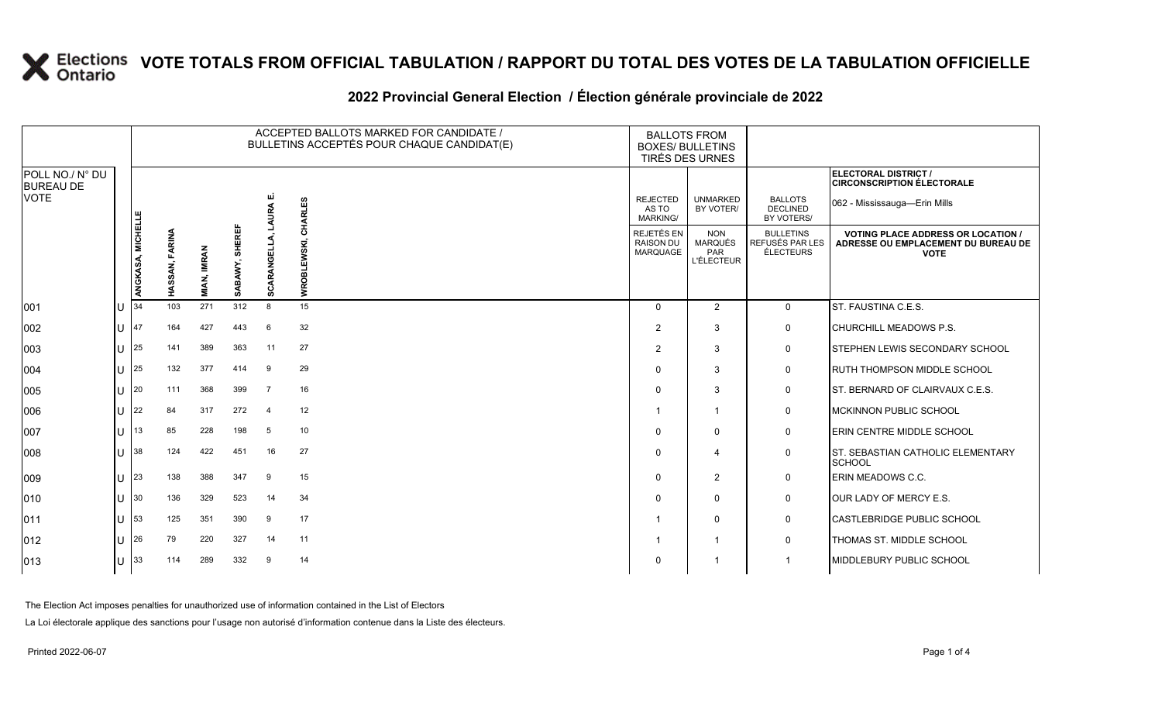#### **2022 Provincial General Election / Élection générale provinciale de 2022**

|                                     |   |                   |                |                    |                |                | ACCEPTED BALLOTS MARKED FOR CANDIDATE /<br>BULLETINS ACCEPTÉS POUR CHAQUE CANDIDAT(E) | <b>BALLOTS FROM</b><br><b>BOXES/ BULLETINS</b><br>TIRÉS DES URNES |                                                   |                                                  |                                                                                                 |
|-------------------------------------|---|-------------------|----------------|--------------------|----------------|----------------|---------------------------------------------------------------------------------------|-------------------------------------------------------------------|---------------------------------------------------|--------------------------------------------------|-------------------------------------------------------------------------------------------------|
| POLL NO./ N° DU<br><b>BUREAU DE</b> |   |                   |                |                    |                |                |                                                                                       |                                                                   |                                                   |                                                  | ELECTORAL DISTRICT /<br><b>CIRCONSCRIPTION ÉLECTORALE</b>                                       |
| <b>VOTE</b>                         |   |                   |                |                    |                | ш              |                                                                                       | <b>REJECTED</b><br>AS TO<br><b>MARKING/</b>                       | <b>UNMARKED</b><br>BY VOTER/                      | <b>BALLOTS</b><br><b>DECLINED</b><br>BY VOTERS/  | 062 - Mississauga-Erin Mills                                                                    |
|                                     |   | ANGKASA, MICHELLE | HASSAN, FARINA | <b>MIAN, IMRAN</b> | SABAWY, SHEREF | SCARANGELL     | EWSKI, CHARLES<br><b>NROI</b>                                                         | REJETÉS EN<br><b>RAISON DU</b><br>MARQUAGE                        | <b>NON</b><br>MARQUÉS<br>PAR<br><b>L'ÉLECTEUR</b> | <b>BULLETINS</b><br>REFUSÉS PAR LES<br>ÉLECTEURS | <b>VOTING PLACE ADDRESS OR LOCATION /</b><br>ADRESSE OU EMPLACEMENT DU BUREAU DE<br><b>VOTE</b> |
| 001                                 |   | 34                | 103            | 271                | 312            | 8              | 15                                                                                    | $\Omega$                                                          | $\overline{2}$                                    | 0                                                | ST. FAUSTINA C.E.S.                                                                             |
| 002                                 |   | 47                | 164            | 427                | 443            | 6              | 32                                                                                    | 2                                                                 | 3                                                 | 0                                                | CHURCHILL MEADOWS P.S.                                                                          |
| 003                                 | U | 25                | 141            | 389                | 363            | 11             | 27                                                                                    | $\overline{2}$                                                    | 3                                                 | 0                                                | <b>STEPHEN LEWIS SECONDARY SCHOOL</b>                                                           |
| 004                                 | U | 25                | 132            | 377                | 414            | 9              | 29                                                                                    |                                                                   | 3                                                 | 0                                                | <b>RUTH THOMPSON MIDDLE SCHOOL</b>                                                              |
| 005                                 |   | 20                | 111            | 368                | 399            | $\overline{7}$ | 16                                                                                    |                                                                   | 3                                                 | $\mathbf 0$                                      | ST. BERNARD OF CLAIRVAUX C.E.S.                                                                 |
| 006                                 |   | 22                | 84             | 317                | 272            | $\overline{4}$ | 12                                                                                    |                                                                   | $\overline{1}$                                    | 0                                                | <b>IMCKINNON PUBLIC SCHOOL</b>                                                                  |
| 007                                 |   | 13                | 85             | 228                | 198            | 5              | 10                                                                                    |                                                                   | $\mathbf 0$                                       | 0                                                | <b>ERIN CENTRE MIDDLE SCHOOL</b>                                                                |
| 008                                 |   | 38                | 124            | 422                | 451            | 16             | 27                                                                                    | $\Omega$                                                          | $\overline{4}$                                    | 0                                                | <b>IST. SEBASTIAN CATHOLIC ELEMENTARY</b><br><b>SCHOOL</b>                                      |
| 009                                 | U | 23                | 138            | 388                | 347            | 9              | 15                                                                                    | O                                                                 | $\overline{2}$                                    | 0                                                | ERIN MEADOWS C.C.                                                                               |
| 010                                 |   | 30                | 136            | 329                | 523            | 14             | 34                                                                                    |                                                                   | $\mathbf 0$                                       | $\mathbf 0$                                      | OUR LADY OF MERCY E.S.                                                                          |
| 011                                 |   | 53                | 125            | 351                | 390            | 9              | 17                                                                                    |                                                                   | $\mathbf 0$                                       | 0                                                | <b>CASTLEBRIDGE PUBLIC SCHOOL</b>                                                               |
| 012                                 |   | 26                | 79             | 220                | 327            | 14             | 11                                                                                    |                                                                   | -1                                                | 0                                                | THOMAS ST. MIDDLE SCHOOL                                                                        |
| 013                                 |   | 33                | 114            | 289                | 332            | 9              | 14                                                                                    |                                                                   | -1                                                | $\overline{\mathbf{1}}$                          | MIDDLEBURY PUBLIC SCHOOL                                                                        |

The Election Act imposes penalties for unauthorized use of information contained in the List of Electors

La Loi électorale applique des sanctions pour l'usage non autorisé d'information contenue dans la Liste des électeurs.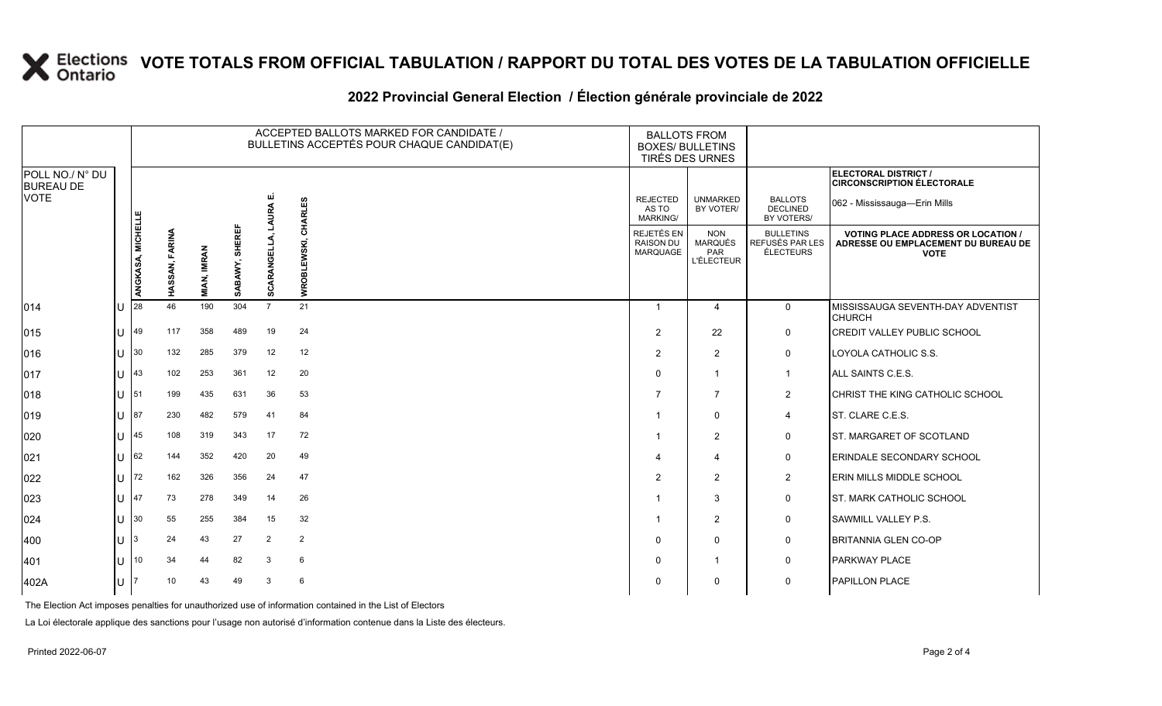|                                                    |              | ACCEPTED BALLOTS MARKED FOR CANDIDATE /<br>BULLETINS ACCEPTÉS POUR CHAQUE CANDIDAT(E) |                |                    |                          |                       |                 |                                                   | <b>BALLOTS FROM</b><br><b>BOXES/ BULLETINS</b><br>TIRÉS DES URNES |                                                         |                                                                                                 |
|----------------------------------------------------|--------------|---------------------------------------------------------------------------------------|----------------|--------------------|--------------------------|-----------------------|-----------------|---------------------------------------------------|-------------------------------------------------------------------|---------------------------------------------------------|-------------------------------------------------------------------------------------------------|
| POLL NO./ N° DU<br><b>BUREAU DE</b><br><b>VOTE</b> |              |                                                                                       |                |                    |                          |                       | <b>CHARLES</b>  | <b>REJECTED</b><br>AS TO<br><b>MARKING/</b>       | <b>UNMARKED</b><br>BY VOTER/                                      | <b>BALLOTS</b><br><b>DECLINED</b><br>BY VOTERS/         | ELECTORAL DISTRICT /<br><b>CIRCONSCRIPTION ÉLECTORALE</b><br>062 - Mississauga-Erin Mills       |
|                                                    |              | ANGKASA, MICHELLE                                                                     | HASSAN, FARINA | <b>MIAN, IMRAN</b> | <b>SHEREF</b><br>SABAWY, | 긆<br>RANGE<br>ह<br>ō, | WROBLEWSKI,     | REJETÉS EN<br><b>RAISON DU</b><br><b>MARQUAGE</b> | <b>NON</b><br>MARQUÉS<br>PAR<br><b>L'ÉLECTEUR</b>                 | <b>BULLETINS</b><br>REFUSÉS PAR LES<br><b>ÉLECTEURS</b> | <b>VOTING PLACE ADDRESS OR LOCATION /</b><br>ADRESSE OU EMPLACEMENT DU BUREAU DE<br><b>VOTE</b> |
| 014                                                |              | 28                                                                                    | 46             | 190                | 304                      | $\overline{7}$        | 21              | $\mathbf{1}$                                      | $\overline{4}$                                                    | $\mathbf 0$                                             | MISSISSAUGA SEVENTH-DAY ADVENTIST<br><b>CHURCH</b>                                              |
| 015                                                |              | 49                                                                                    | 117            | 358                | 489                      | 19                    | 24              | $\overline{2}$                                    | 22                                                                | $\mathbf 0$                                             | <b>CREDIT VALLEY PUBLIC SCHOOL</b>                                                              |
| 016                                                |              | 30                                                                                    | 132            | 285                | 379                      | 12                    | 12              | 2                                                 | 2                                                                 | $\mathbf 0$                                             | LOYOLA CATHOLIC S.S.                                                                            |
| 017                                                |              | 43                                                                                    | 102            | 253                | 361                      | 12                    | 20              | $\Omega$                                          | $\overline{1}$                                                    | $\overline{1}$                                          | ALL SAINTS C.E.S.                                                                               |
| 018                                                | $\mathbf{L}$ | 151                                                                                   | 199            | 435                | 631                      | 36                    | 53              | $\overline{7}$                                    | $\overline{7}$                                                    | 2                                                       | CHRIST THE KING CATHOLIC SCHOOL                                                                 |
| 019                                                |              | 87                                                                                    | 230            | 482                | 579                      | 41                    | 84              | -1                                                | $\mathbf 0$                                                       | $\overline{4}$                                          | ST. CLARE C.E.S.                                                                                |
| 020                                                |              | 45                                                                                    | 108            | 319                | 343                      | 17                    | 72              | -1                                                | 2                                                                 | $\mathbf 0$                                             | <b>IST. MARGARET OF SCOTLAND</b>                                                                |
| 021                                                |              | 62                                                                                    | 144            | 352                | 420                      | 20                    | 49              | $\boldsymbol{\Delta}$                             | $\boldsymbol{\Delta}$                                             | $\mathbf 0$                                             | ERINDALE SECONDARY SCHOOL                                                                       |
| 022                                                |              | 72                                                                                    | 162            | 326                | 356                      | 24                    | 47              | $\overline{2}$                                    | 2                                                                 | 2                                                       | <b>ERIN MILLS MIDDLE SCHOOL</b>                                                                 |
| 023                                                |              | 47                                                                                    | 73             | 278                | 349                      | 14                    | 26              | -1                                                | 3                                                                 | $\mathbf 0$                                             | <b>ST. MARK CATHOLIC SCHOOL</b>                                                                 |
| 024                                                |              | 30                                                                                    | 55             | 255                | 384                      | 15                    | 32              | -1                                                | 2                                                                 | $\mathbf 0$                                             | <b>SAWMILL VALLEY P.S.</b>                                                                      |
| 400                                                |              |                                                                                       | 24             | 43                 | 27                       | 2                     | $\overline{2}$  | $\Omega$                                          | $\mathbf 0$                                                       | 0                                                       | BRITANNIA GLEN CO-OP                                                                            |
| 401                                                |              | 10                                                                                    | 34             | 44                 | 82                       | 3                     | 6               | $\Omega$                                          | -1                                                                | $\mathbf 0$                                             | <b>PARKWAY PLACE</b>                                                                            |
| 402A                                               | lU.          |                                                                                       | 10             | 43                 | 49                       | 3                     | $6\phantom{1}6$ | $\Omega$                                          | $\Omega$                                                          | $\mathbf 0$                                             | PAPILLON PLACE                                                                                  |

#### **2022 Provincial General Election / Élection générale provinciale de 2022**

The Election Act imposes penalties for unauthorized use of information contained in the List of Electors

La Loi électorale applique des sanctions pour l'usage non autorisé d'information contenue dans la Liste des électeurs.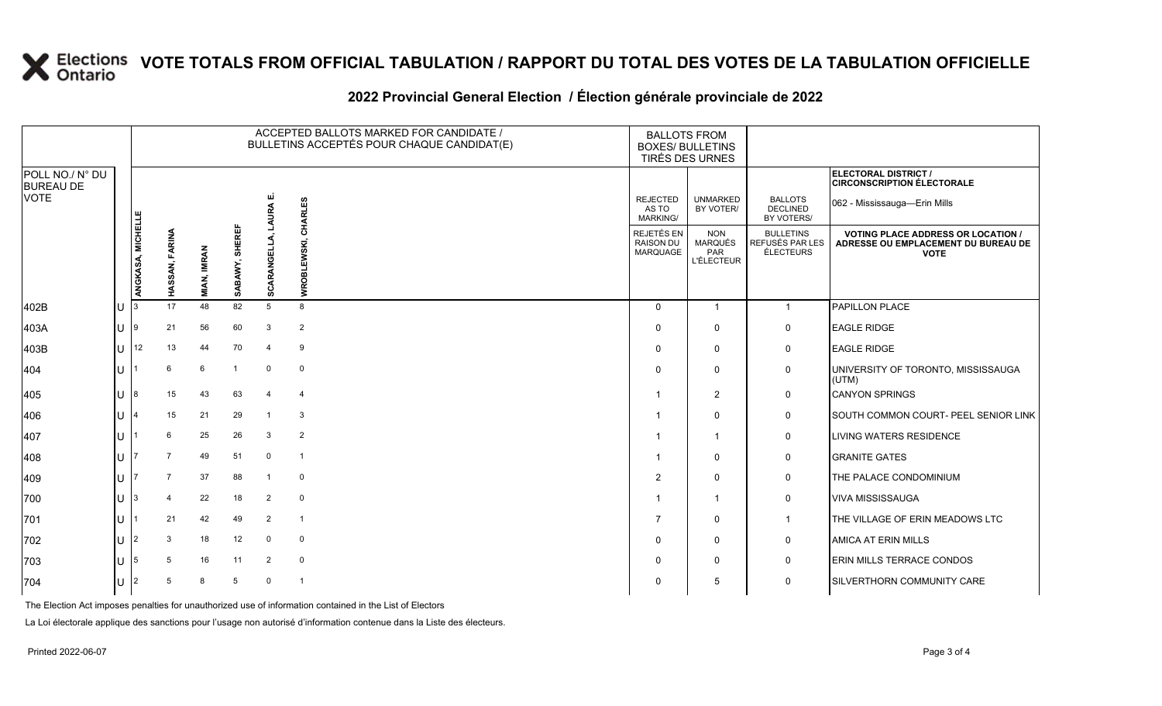#### **2022 Provincial General Election / Élection générale provinciale de 2022**

|                                     |              |                                       |                    |                          |           |                | ACCEPTED BALLOTS MARKED FOR CANDIDATE /<br>BULLETINS ACCEPTÉS POUR CHAQUE CANDIDAT(E) | <b>BALLOTS FROM</b><br><b>BOXES/ BULLETINS</b><br>TIRÉS DES URNES |                                                  |                                                                                                 |                                                           |
|-------------------------------------|--------------|---------------------------------------|--------------------|--------------------------|-----------|----------------|---------------------------------------------------------------------------------------|-------------------------------------------------------------------|--------------------------------------------------|-------------------------------------------------------------------------------------------------|-----------------------------------------------------------|
| POLL NO./ N° DU<br><b>BUREAU DE</b> |              |                                       |                    |                          |           |                |                                                                                       |                                                                   |                                                  |                                                                                                 | ELECTORAL DISTRICT /<br><b>CIRCONSCRIPTION ÉLECTORALE</b> |
| VOTE                                |              |                                       |                    |                          |           |                | <b>CHARLES</b>                                                                        | <b>REJECTED</b><br>AS TO<br><b>MARKING/</b>                       | <b>UNMARKED</b><br>BY VOTER/                     | <b>BALLOTS</b><br>DECLINED<br>BY VOTERS/                                                        | 062 - Mississauga-Erin Mills                              |
|                                     |              | ANGKASA, MICHELL<br>FARINA<br>HASSAN, | <b>MIAN, IMRAN</b> | <b>SHEREF</b><br>SABAWY, | SCARANGEL | WROBLEWSKI,    | REJETÉS EN<br><b>RAISON DU</b><br><b>MARQUAGE</b>                                     | <b>NON</b><br><b>MARQUÉS</b><br>PAR<br><b>L'ÉLECTEUR</b>          | <b>BULLETINS</b><br>REFUSÉS PAR LES<br>ÉLECTEURS | <b>VOTING PLACE ADDRESS OR LOCATION /</b><br>ADRESSE OU EMPLACEMENT DU BUREAU DE<br><b>VOTE</b> |                                                           |
| 402B                                | ΙU           |                                       | 17                 | 48                       | 82        | 5              | 8                                                                                     | $\Omega$                                                          | $\mathbf{1}$                                     | $\mathbf{1}$                                                                                    | PAPILLON PLACE                                            |
| 403A                                |              |                                       | 21                 | 56                       | 60        | 3              | $\overline{2}$                                                                        | $\Omega$                                                          | $\Omega$                                         | 0                                                                                               | <b>EAGLE RIDGE</b>                                        |
| 403B                                | $\mathbf{H}$ | 12                                    | 13                 | 44                       | 70        | $\overline{4}$ | 9                                                                                     | $\Omega$                                                          | $\mathbf{0}$                                     | 0                                                                                               | <b>EAGLE RIDGE</b>                                        |
| 404                                 | $\mathbf{L}$ |                                       | 6                  | 6                        |           | $\Omega$       | $\mathbf 0$                                                                           | $\Omega$                                                          | $\mathbf{0}$                                     | 0                                                                                               | UNIVERSITY OF TORONTO, MISSISSAUGA<br>(UTM)               |
| 405                                 | $\mathbf{U}$ | 18                                    | 15                 | 43                       | 63        | 4              | $\overline{4}$                                                                        | -1                                                                | $\overline{2}$                                   | 0                                                                                               | <b>CANYON SPRINGS</b>                                     |
| 406                                 |              |                                       | 15                 | 21                       | 29        | -1             | 3                                                                                     | -1                                                                | $\Omega$                                         | $\mathbf 0$                                                                                     | SOUTH COMMON COURT- PEEL SENIOR LINK                      |
| 407                                 |              |                                       | 6                  | 25                       | 26        | 3              | $\overline{2}$                                                                        |                                                                   | $\mathbf 1$                                      | $\mathsf{O}$                                                                                    | <b>LIVING WATERS RESIDENCE</b>                            |
| 408                                 |              |                                       |                    | 49                       | 51        | $\mathbf 0$    | $\overline{\phantom{0}}$                                                              | -1                                                                | $\Omega$                                         | 0                                                                                               | <b>GRANITE GATES</b>                                      |
| 409                                 |              |                                       |                    | 37                       | 88        |                | 0                                                                                     | 2                                                                 | $\Omega$                                         | 0                                                                                               | THE PALACE CONDOMINIUM                                    |
| 700                                 |              |                                       |                    | 22                       | 18        | 2              | $\mathbf 0$                                                                           | -1                                                                | $\mathbf{1}$                                     | 0                                                                                               | <b>VIVA MISSISSAUGA</b>                                   |
| 701                                 |              |                                       | 21                 | 42                       | 49        | 2              | $\overline{\mathbf{1}}$                                                               | -7                                                                | $\Omega$                                         | $\mathbf{1}$                                                                                    | THE VILLAGE OF ERIN MEADOWS LTC                           |
| 702                                 | $\mathbf{U}$ | 12                                    | 3                  | 18                       | 12        | $\mathbf 0$    | $\mathbf 0$                                                                           | $\Omega$                                                          | $\mathbf{0}$                                     | 0                                                                                               | <b>AMICA AT ERIN MILLS</b>                                |
| 703                                 |              |                                       | 5                  | 16                       | 11        | 2              | $\mathbf 0$                                                                           | $\Omega$                                                          | $\Omega$                                         | 0                                                                                               | <b>ERIN MILLS TERRACE CONDOS</b>                          |
| 704                                 |              |                                       | 5                  | 8                        | 5         | $\Omega$       | $\overline{\mathbf{1}}$                                                               | 0                                                                 | 5                                                | 0                                                                                               | SILVERTHORN COMMUNITY CARE                                |

The Election Act imposes penalties for unauthorized use of information contained in the List of Electors

La Loi électorale applique des sanctions pour l'usage non autorisé d'information contenue dans la Liste des électeurs.